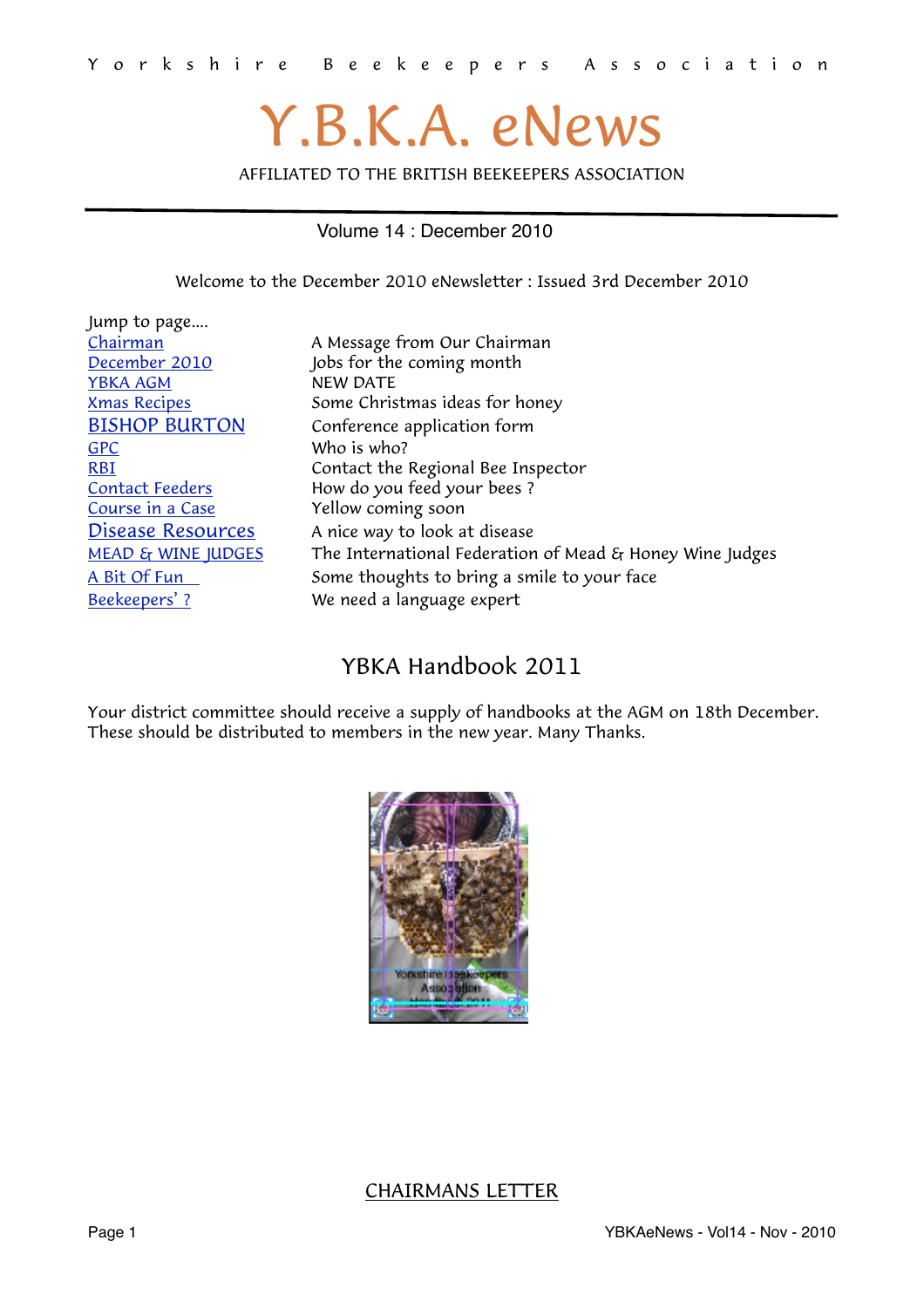# Y.B.K.A. eNews

AFFILIATED TO THE BRITISH BEEKEEPERS ASSOCIATION

#### Volume 14 : December 2010

<span id="page-0-1"></span>Welcome to the December 2010 eNewsletter : Issued 3rd December 2010

| Jump to page                  |                                                          |  |
|-------------------------------|----------------------------------------------------------|--|
| Chairman                      | A Message from Our Chairman                              |  |
| December 2010                 | Jobs for the coming month                                |  |
| <b>YBKA AGM</b>               | NEW DATE                                                 |  |
| <b>Xmas Recipes</b>           | Some Christmas ideas for honey                           |  |
| <b>BISHOP BURTON</b>          | Conference application form                              |  |
| <b>GPC</b>                    | Who is who?                                              |  |
| <b>RBI</b>                    | Contact the Regional Bee Inspector                       |  |
| <b>Contact Feeders</b>        | How do you feed your bees?                               |  |
| Course in a Case              | Yellow coming soon                                       |  |
| Disease Resources             | A nice way to look at disease                            |  |
| <b>MEAD &amp; WINE JUDGES</b> | The International Federation of Mead & Honey Wine Judges |  |
| A Bit Of Fun                  | Some thoughts to bring a smile to your face              |  |
| Beekeepers'?                  | We need a language expert                                |  |

# YBKA Handbook 2011

Your district committee should receive a supply of handbooks at the AGM on 18th December. These should be distributed to members in the new year. Many Thanks.



#### <span id="page-0-0"></span>CHAIRMANS LETTER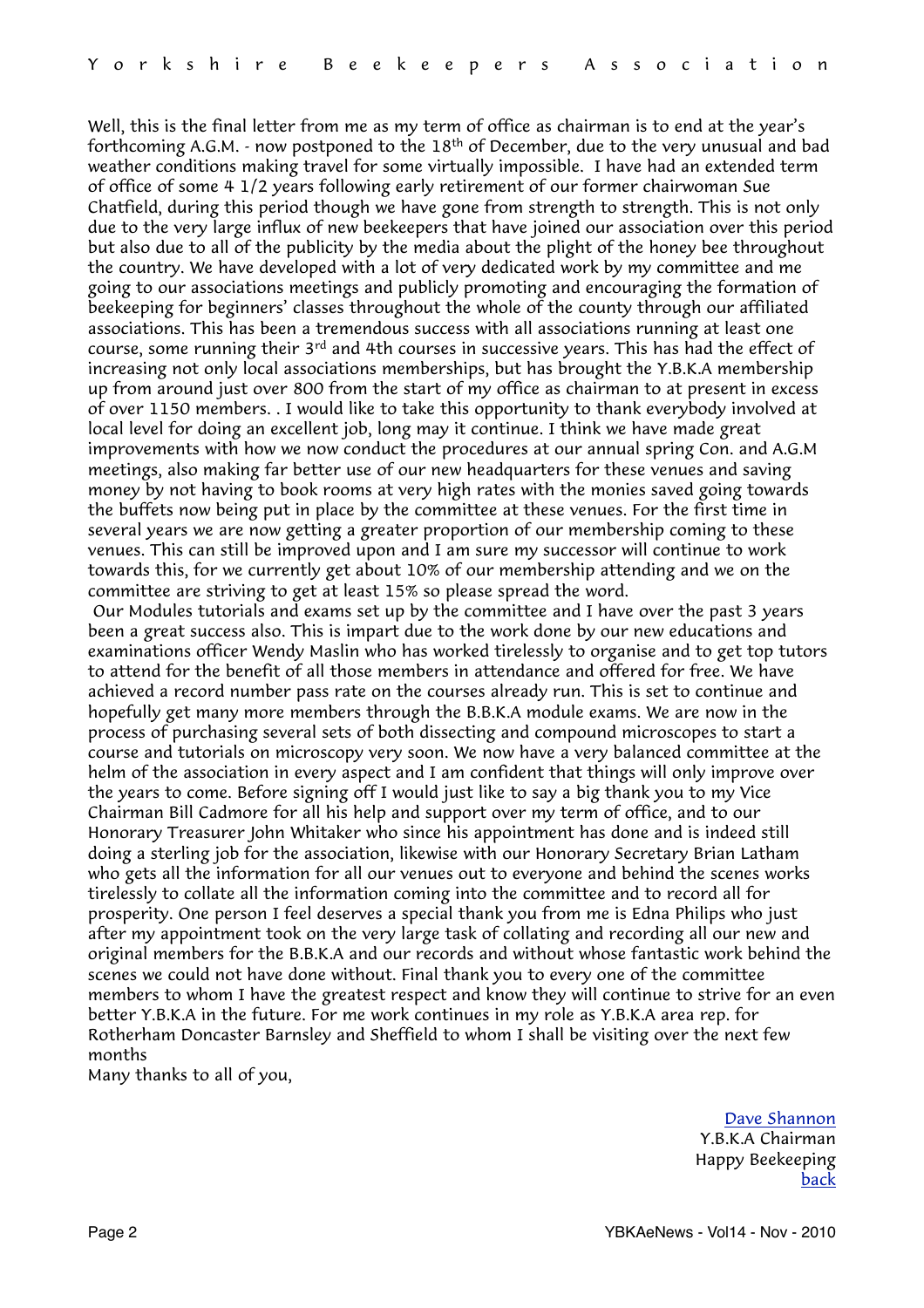Well, this is the final letter from me as my term of office as chairman is to end at the year's forthcoming A.G.M. - now postponed to the 18th of December, due to the very unusual and bad weather conditions making travel for some virtually impossible. I have had an extended term of office of some 4 1/2 years following early retirement of our former chairwoman Sue Chatfield, during this period though we have gone from strength to strength. This is not only due to the very large influx of new beekeepers that have joined our association over this period but also due to all of the publicity by the media about the plight of the honey bee throughout the country. We have developed with a lot of very dedicated work by my committee and me going to our associations meetings and publicly promoting and encouraging the formation of beekeeping for beginners' classes throughout the whole of the county through our affiliated associations. This has been a tremendous success with all associations running at least one course, some running their 3<sup>rd</sup> and 4th courses in successive years. This has had the effect of increasing not only local associations memberships, but has brought the Y.B.K.A membership up from around just over 800 from the start of my office as chairman to at present in excess of over 1150 members. . I would like to take this opportunity to thank everybody involved at local level for doing an excellent job, long may it continue. I think we have made great improvements with how we now conduct the procedures at our annual spring Con. and A.G.M meetings, also making far better use of our new headquarters for these venues and saving money by not having to book rooms at very high rates with the monies saved going towards the buffets now being put in place by the committee at these venues. For the first time in several years we are now getting a greater proportion of our membership coming to these venues. This can still be improved upon and I am sure my successor will continue to work towards this, for we currently get about 10% of our membership attending and we on the committee are striving to get at least 15% so please spread the word.

 Our Modules tutorials and exams set up by the committee and I have over the past 3 years been a great success also. This is impart due to the work done by our new educations and examinations officer Wendy Maslin who has worked tirelessly to organise and to get top tutors to attend for the benefit of all those members in attendance and offered for free. We have achieved a record number pass rate on the courses already run. This is set to continue and hopefully get many more members through the B.B.K.A module exams. We are now in the process of purchasing several sets of both dissecting and compound microscopes to start a course and tutorials on microscopy very soon. We now have a very balanced committee at the helm of the association in every aspect and I am confident that things will only improve over the years to come. Before signing off I would just like to say a big thank you to my Vice Chairman Bill Cadmore for all his help and support over my term of office, and to our Honorary Treasurer John Whitaker who since his appointment has done and is indeed still doing a sterling job for the association, likewise with our Honorary Secretary Brian Latham who gets all the information for all our venues out to everyone and behind the scenes works tirelessly to collate all the information coming into the committee and to record all for prosperity. One person I feel deserves a special thank you from me is Edna Philips who just after my appointment took on the very large task of collating and recording all our new and original members for the B.B.K.A and our records and without whose fantastic work behind the scenes we could not have done without. Final thank you to every one of the committee members to whom I have the greatest respect and know they will continue to strive for an even better Y.B.K.A in the future. For me work continues in my role as Y.B.K.A area rep. for Rotherham Doncaster Barnsley and Sheffield to whom I shall be visiting over the next few months

Many thanks to all of you,

[Dave Shannon](mailto:dave_aca@tiscali.co.uk?subject=YBKA%20Chairman) Y.B.K.A Chairman Happy Beekeeping [back](#page-0-1)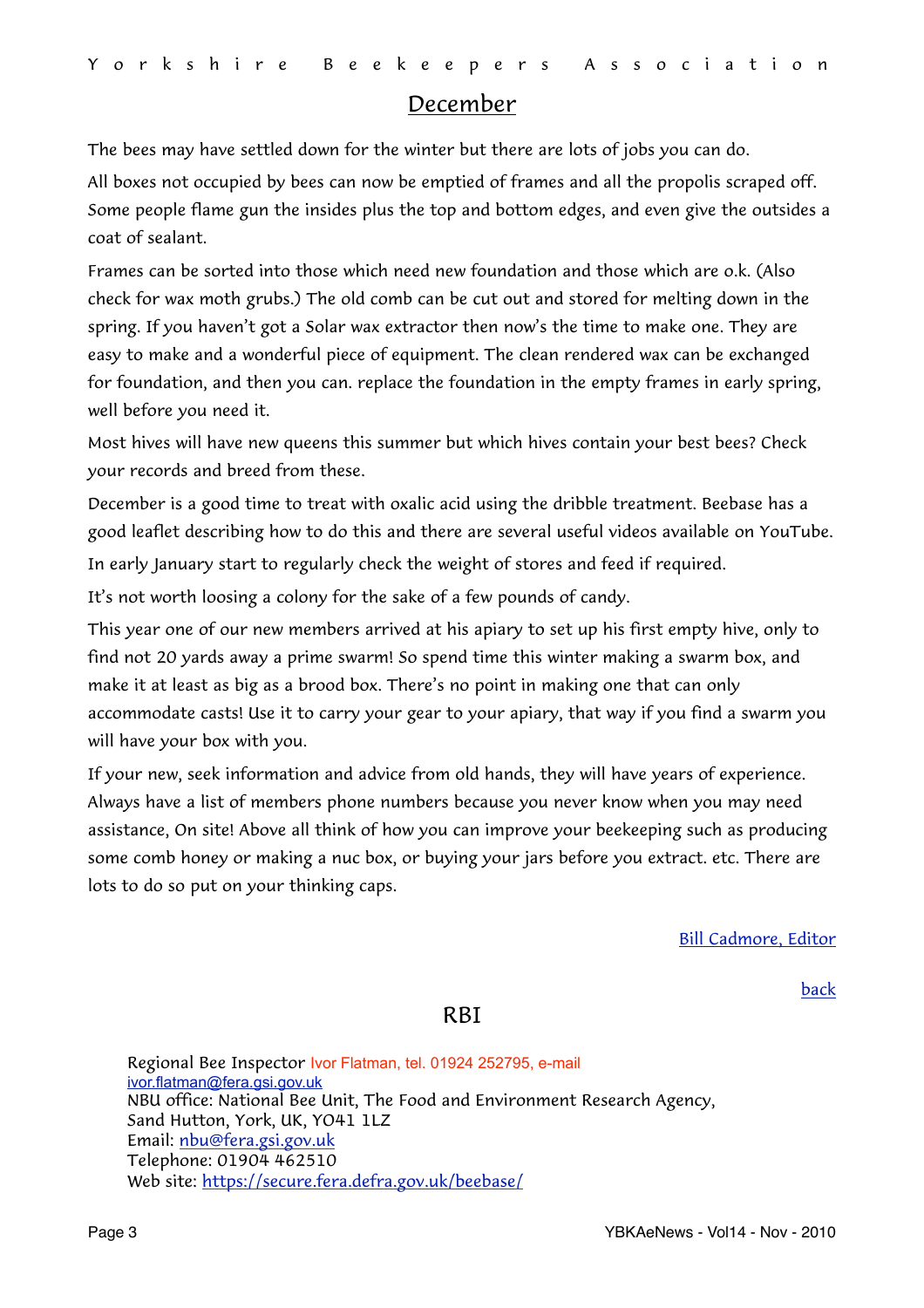#### <span id="page-2-0"></span>December

The bees may have settled down for the winter but there are lots of jobs you can do.

All boxes not occupied by bees can now be emptied of frames and all the propolis scraped off. Some people flame gun the insides plus the top and bottom edges, and even give the outsides a coat of sealant.

Frames can be sorted into those which need new foundation and those which are o.k. (Also check for wax moth grubs.) The old comb can be cut out and stored for melting down in the spring. If you haven't got a Solar wax extractor then now's the time to make one. They are easy to make and a wonderful piece of equipment. The clean rendered wax can be exchanged for foundation, and then you can. replace the foundation in the empty frames in early spring, well before you need it.

Most hives will have new queens this summer but which hives contain your best bees? Check your records and breed from these.

December is a good time to treat with oxalic acid using the dribble treatment. Beebase has a good leaflet describing how to do this and there are several useful videos available on YouTube.

In early January start to regularly check the weight of stores and feed if required.

It's not worth loosing a colony for the sake of a few pounds of candy.

This year one of our new members arrived at his apiary to set up his first empty hive, only to find not 20 yards away a prime swarm! So spend time this winter making a swarm box, and make it at least as big as a brood box. There's no point in making one that can only accommodate casts! Use it to carry your gear to your apiary, that way if you find a swarm you will have your box with you.

If your new, seek information and advice from old hands, they will have years of experience. Always have a list of members phone numbers because you never know when you may need assistance, On site! Above all think of how you can improve your beekeeping such as producing some comb honey or making a nuc box, or buying your jars before you extract. etc. There are lots to do so put on your thinking caps.

[Bill Cadmore, Editor](mailto:ybkanews@ntlworld.com?subject=eNewsletter)

[back](#page-0-1)

#### <span id="page-2-1"></span>**RBI**

Regional Bee Inspector Ivor Flatman, tel. 01924 252795, e-mail [ivor.flatman@fera.gsi.gov.uk](mailto:ivor.flatman@fera.gsi.gov.uk) NBU office: National Bee Unit, The Food and Environment Research Agency, Sand Hutton, York, UK, YO41 1LZ Email: [nbu@fera.gsi.gov.uk](mailto:nbu@fera.gsi.gov.uk) Telephone: 01904 462510 Web site:<https://secure.fera.defra.gov.uk/beebase/>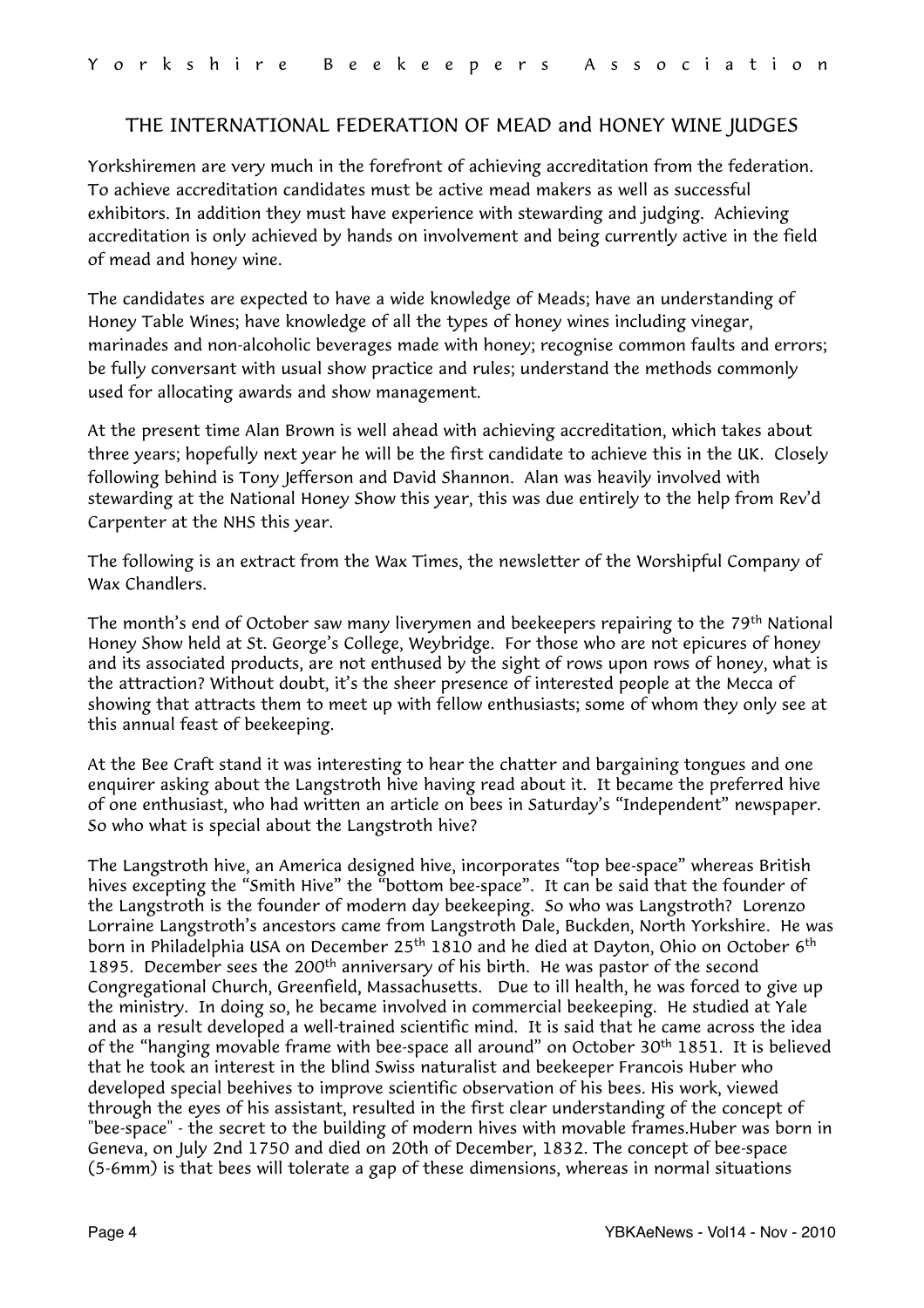#### <span id="page-3-0"></span>THE INTERNATIONAL FEDERATION OF MEAD and HONEY WINE JUDGES

Yorkshiremen are very much in the forefront of achieving accreditation from the federation. To achieve accreditation candidates must be active mead makers as well as successful exhibitors. In addition they must have experience with stewarding and judging. Achieving accreditation is only achieved by hands on involvement and being currently active in the field of mead and honey wine.

The candidates are expected to have a wide knowledge of Meads; have an understanding of Honey Table Wines; have knowledge of all the types of honey wines including vinegar, marinades and non-alcoholic beverages made with honey; recognise common faults and errors; be fully conversant with usual show practice and rules; understand the methods commonly used for allocating awards and show management.

At the present time Alan Brown is well ahead with achieving accreditation, which takes about three years; hopefully next year he will be the first candidate to achieve this in the UK. Closely following behind is Tony Jefferson and David Shannon. Alan was heavily involved with stewarding at the National Honey Show this year, this was due entirely to the help from Rev'd Carpenter at the NHS this year.

The following is an extract from the Wax Times, the newsletter of the Worshipful Company of Wax Chandlers.

The month's end of October saw many liverymen and beekeepers repairing to the 79<sup>th</sup> National Honey Show held at St. George's College, Weybridge. For those who are not epicures of honey and its associated products, are not enthused by the sight of rows upon rows of honey, what is the attraction? Without doubt, it's the sheer presence of interested people at the Mecca of showing that attracts them to meet up with fellow enthusiasts; some of whom they only see at this annual feast of beekeeping.

At the Bee Craft stand it was interesting to hear the chatter and bargaining tongues and one enquirer asking about the Langstroth hive having read about it. It became the preferred hive of one enthusiast, who had written an article on bees in Saturday's "Independent" newspaper. So who what is special about the Langstroth hive?

The Langstroth hive, an America designed hive, incorporates "top bee-space" whereas British hives excepting the "Smith Hive" the "bottom bee-space". It can be said that the founder of the Langstroth is the founder of modern day beekeeping. So who was Langstroth? Lorenzo Lorraine Langstroth's ancestors came from Langstroth Dale, Buckden, North Yorkshire. He was born in Philadelphia USA on December 25<sup>th</sup> 1810 and he died at Dayton, Ohio on October 6<sup>th</sup> 1895. December sees the 200<sup>th</sup> anniversary of his birth. He was pastor of the second Congregational Church, Greenfield, Massachusetts. Due to ill health, he was forced to give up the ministry. In doing so, he became involved in commercial beekeeping. He studied at Yale and as a result developed a well-trained scientific mind. It is said that he came across the idea of the "hanging movable frame with bee-space all around" on October 30<sup>th</sup> 1851. It is believed that he took an interest in the blind Swiss naturalist and beekeeper Francois Huber who developed special beehives to improve scientific observation of his bees. His work, viewed through the eyes of his assistant, resulted in the first clear understanding of the concept of "bee-space" - the secret to the building of modern hives with movable frames.Huber was born in Geneva, on July 2nd 1750 and died on 20th of December, 1832. The concept of bee-space (5-6mm) is that bees will tolerate a gap of these dimensions, whereas in normal situations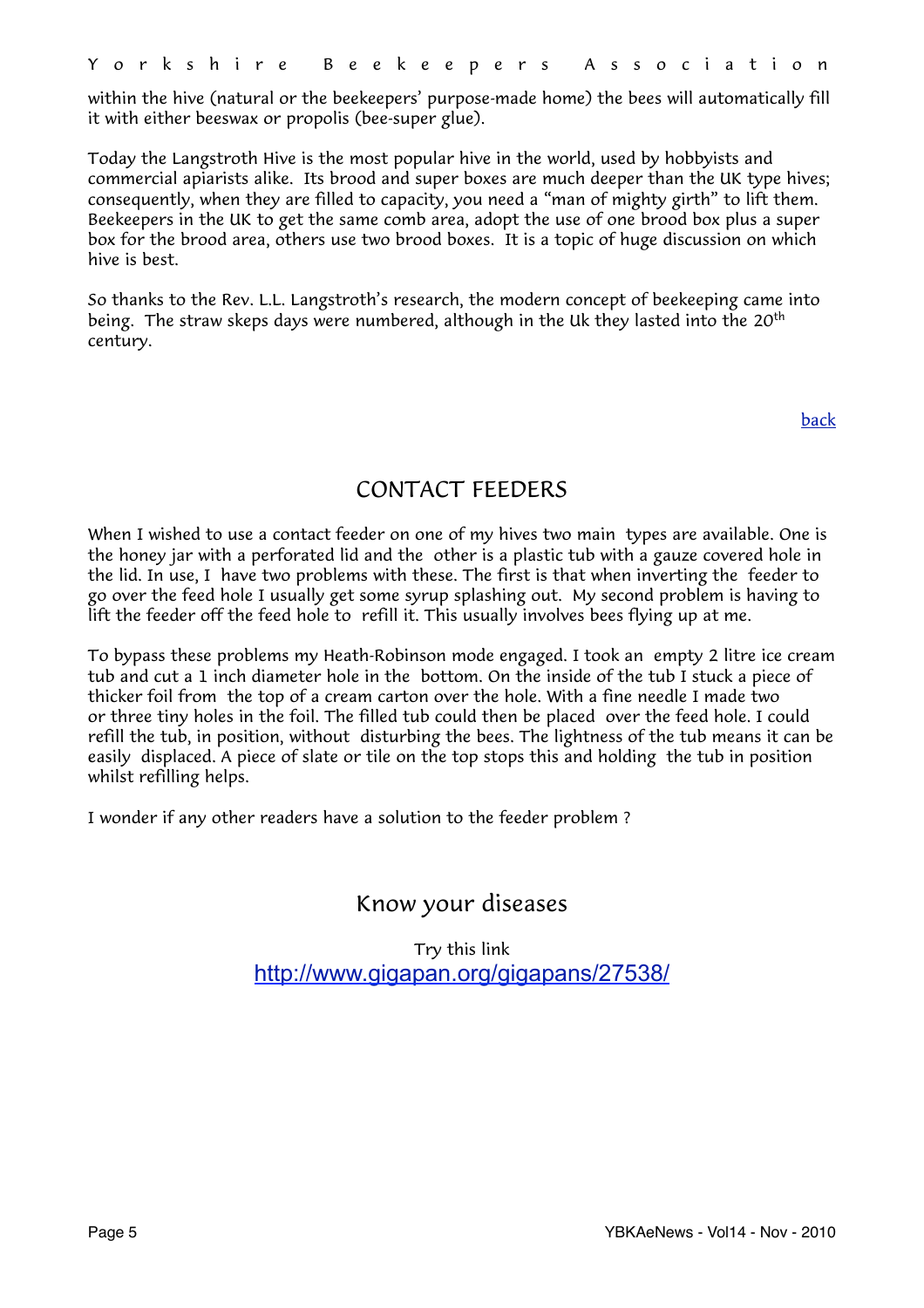within the hive (natural or the beekeepers' purpose-made home) the bees will automatically fill it with either beeswax or propolis (bee-super glue).

Today the Langstroth Hive is the most popular hive in the world, used by hobbyists and commercial apiarists alike. Its brood and super boxes are much deeper than the UK type hives; consequently, when they are filled to capacity, you need a "man of mighty girth" to lift them. Beekeepers in the UK to get the same comb area, adopt the use of one brood box plus a super box for the brood area, others use two brood boxes. It is a topic of huge discussion on which hive is best.

So thanks to the Rev. L.L. Langstroth's research, the modern concept of beekeeping came into being. The straw skeps days were numbered, although in the Uk they lasted into the 20<sup>th</sup> century.

[back](#page-0-1)

# <span id="page-4-0"></span>CONTACT FEEDERS

When I wished to use a contact feeder on one of my hives two main types are available. One is the honey jar with a perforated lid and the other is a plastic tub with a gauze covered hole in the lid. In use, I have two problems with these. The first is that when inverting the feeder to go over the feed hole I usually get some syrup splashing out. My second problem is having to lift the feeder off the feed hole to refill it. This usually involves bees flying up at me.

To bypass these problems my Heath-Robinson mode engaged. I took an empty 2 litre ice cream tub and cut a 1 inch diameter hole in the bottom. On the inside of the tub I stuck a piece of thicker foil from the top of a cream carton over the hole. With a fine needle I made two or three tiny holes in the foil. The filled tub could then be placed over the feed hole. I could refill the tub, in position, without disturbing the bees. The lightness of the tub means it can be easily displaced. A piece of slate or tile on the top stops this and holding the tub in position whilst refilling helps.

I wonder if any other readers have a solution to the feeder problem ?

# <span id="page-4-1"></span>Know your diseases

Try this link <http://www.gigapan.org/gigapans/27538/>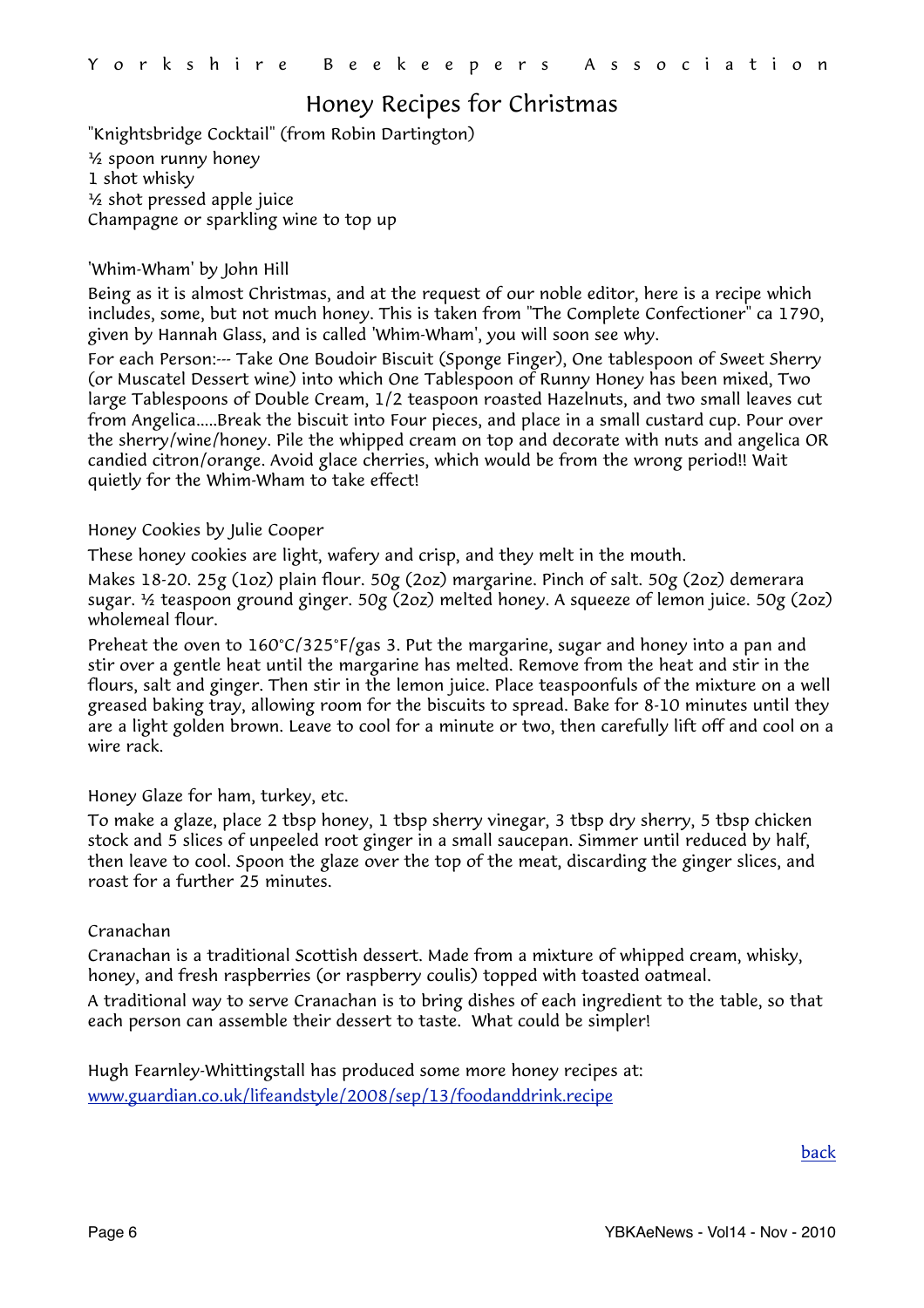# <span id="page-5-0"></span>Honey Recipes for Christmas

"Knightsbridge Cocktail" (from Robin Dartington) ½ spoon runny honey 1 shot whisky ½ shot pressed apple juice Champagne or sparkling wine to top up

#### 'Whim-Wham' by John Hill

Being as it is almost Christmas, and at the request of our noble editor, here is a recipe which includes, some, but not much honey. This is taken from "The Complete Confectioner" ca 1790, given by Hannah Glass, and is called 'Whim-Wham', you will soon see why.

For each Person:--- Take One Boudoir Biscuit (Sponge Finger), One tablespoon of Sweet Sherry (or Muscatel Dessert wine) into which One Tablespoon of Runny Honey has been mixed, Two large Tablespoons of Double Cream, 1/2 teaspoon roasted Hazelnuts, and two small leaves cut from Angelica.....Break the biscuit into Four pieces, and place in a small custard cup. Pour over the sherry/wine/honey. Pile the whipped cream on top and decorate with nuts and angelica OR candied citron/orange. Avoid glace cherries, which would be from the wrong period!! Wait quietly for the Whim-Wham to take effect!

Honey Cookies by Julie Cooper

These honey cookies are light, wafery and crisp, and they melt in the mouth.

Makes 18-20. 25g (1oz) plain flour. 50g (2oz) margarine. Pinch of salt. 50g (2oz) demerara sugar. ½ teaspoon ground ginger. 50g (2oz) melted honey. A squeeze of lemon juice. 50g (2oz) wholemeal flour.

Preheat the oven to 160°C/325°F/gas 3. Put the margarine, sugar and honey into a pan and stir over a gentle heat until the margarine has melted. Remove from the heat and stir in the flours, salt and ginger. Then stir in the lemon juice. Place teaspoonfuls of the mixture on a well greased baking tray, allowing room for the biscuits to spread. Bake for 8-10 minutes until they are a light golden brown. Leave to cool for a minute or two, then carefully lift off and cool on a wire rack.

Honey Glaze for ham, turkey, etc.

To make a glaze, place 2 tbsp honey, 1 tbsp sherry vinegar, 3 tbsp dry sherry, 5 tbsp chicken stock and 5 slices of unpeeled root ginger in a small saucepan. Simmer until reduced by half, then leave to cool. Spoon the glaze over the top of the meat, discarding the ginger slices, and roast for a further 25 minutes.

#### Cranachan

Cranachan is a traditional Scottish dessert. Made from a mixture of whipped cream, whisky, honey, and fresh raspberries (or raspberry coulis) topped with toasted oatmeal.

A traditional way to serve Cranachan is to bring dishes of each ingredient to the table, so that each person can assemble their dessert to taste. What could be simpler!

Hugh Fearnley-Whittingstall has produced some more honey recipes at: [www.guardian.co.uk/lifeandstyle/2008/sep/13/foodanddrink.recipe](http://www.guardian.co.uk/lifeandstyle/2008/sep/13/foodanddrink.recipe)

[back](#page-0-1)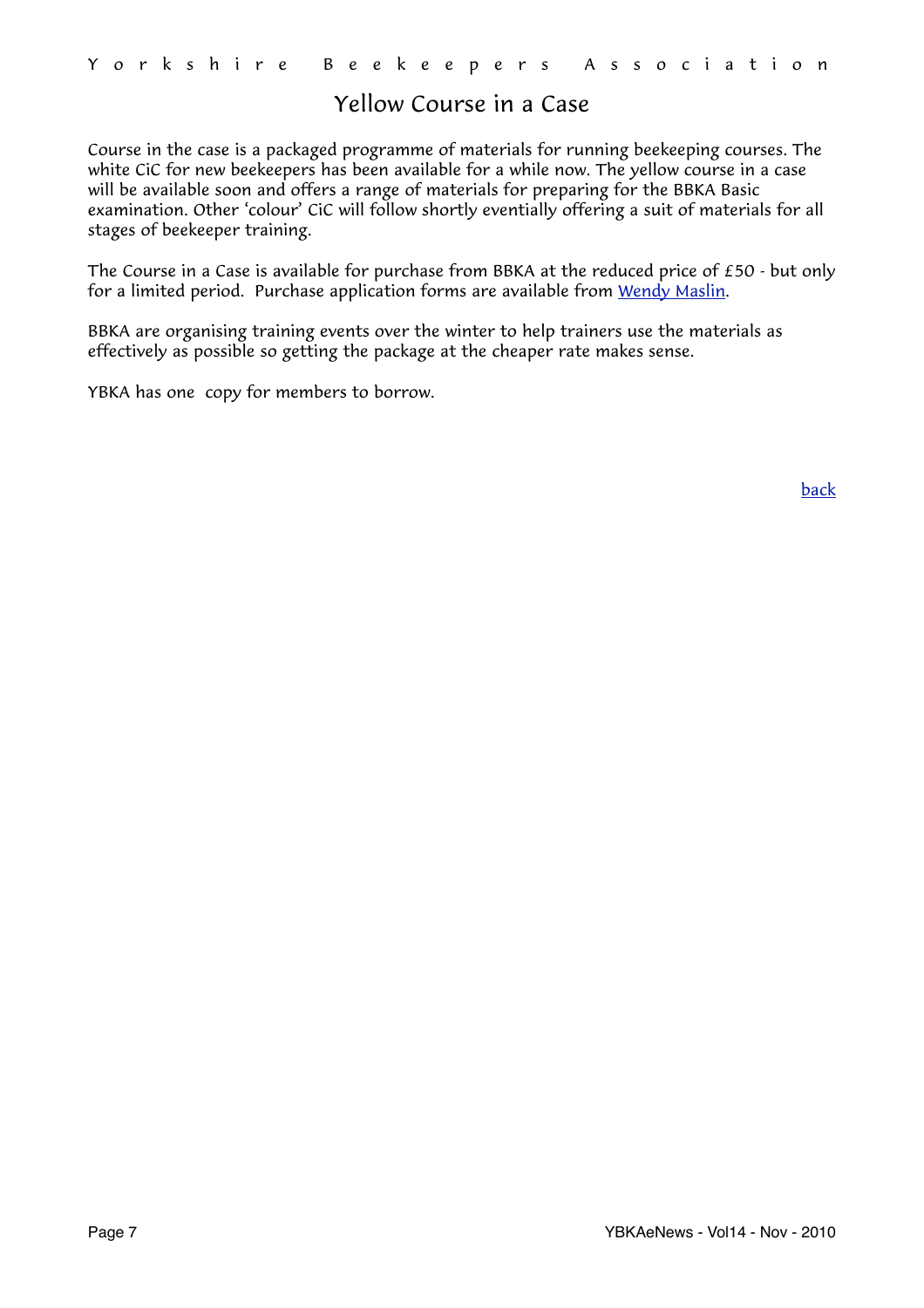# <span id="page-6-0"></span>Yellow Course in a Case

Course in the case is a packaged programme of materials for running beekeeping courses. The white CiC for new beekeepers has been available for a while now. The yellow course in a case will be available soon and offers a range of materials for preparing for the BBKA Basic examination. Other 'colour' CiC will follow shortly eventially offering a suit of materials for all stages of beekeeper training.

The Course in a Case is available for purchase from BBKA at the reduced price of £50 - but only for a limited period. Purchase application forms are available from [Wendy Maslin](mailto:wendy@maslin.karoo.co.uk?subject=Course%20in%20a%20Case).

BBKA are organising training events over the winter to help trainers use the materials as effectively as possible so getting the package at the cheaper rate makes sense.

YBKA has one copy for members to borrow.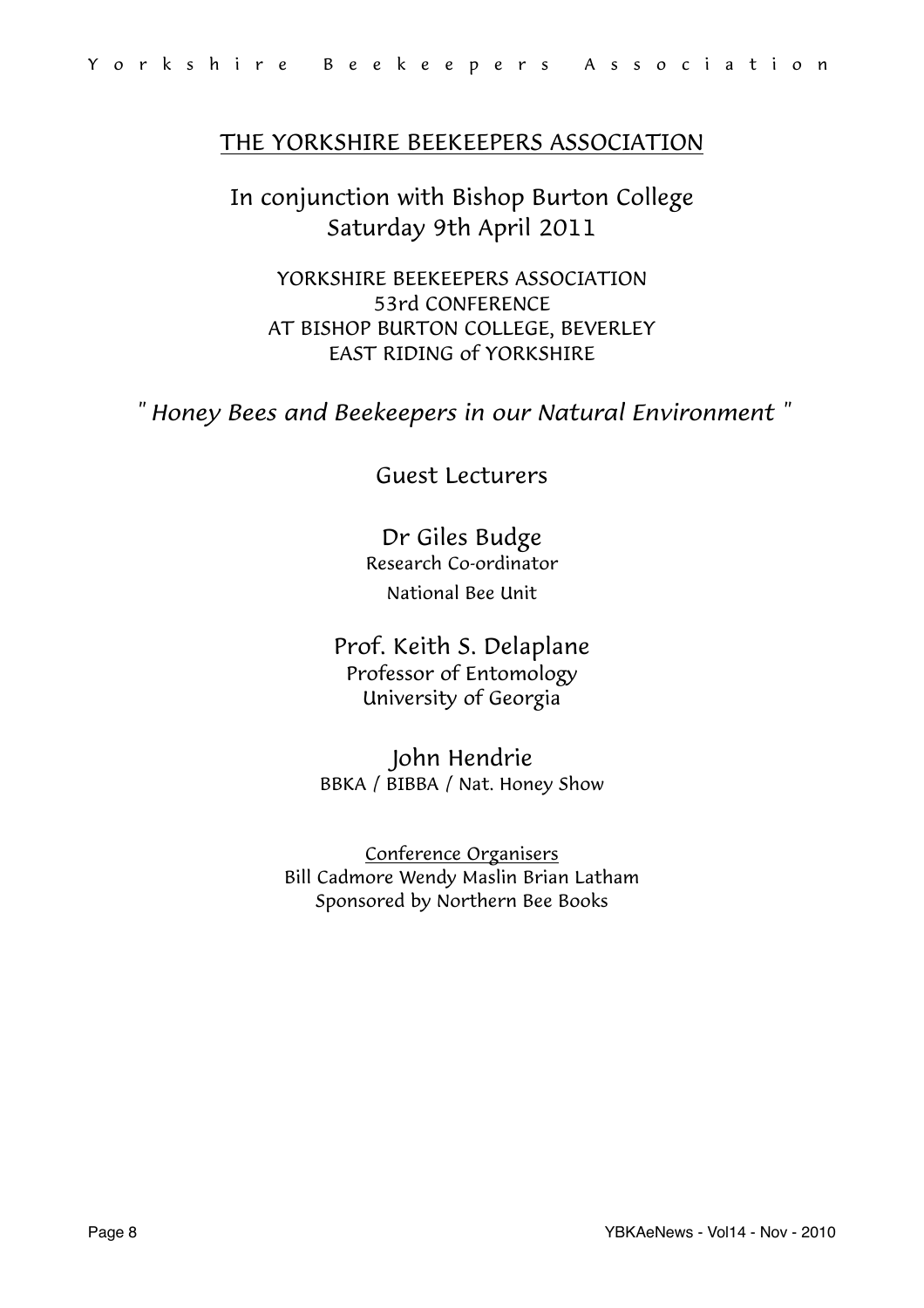## THE YORKSHIRE BEEKEEPERS ASSOCIATION

In conjunction with Bishop Burton College Saturday 9th April 2011

<span id="page-7-0"></span>YORKSHIRE BEEKEEPERS ASSOCIATION 53rd CONFERENCE AT BISHOP BURTON COLLEGE, BEVERLEY EAST RIDING of YORKSHIRE

*" Honey Bees and Beekeepers in our Natural Environment "*

## Guest Lecturers

Dr Giles Budge Research Co-ordinator National Bee Unit

Prof. Keith S. Delaplane Professor of Entomology University of Georgia

John Hendrie BBKA / BIBBA / Nat. Honey Show

Conference Organisers Bill Cadmore Wendy Maslin Brian Latham Sponsored by Northern Bee Books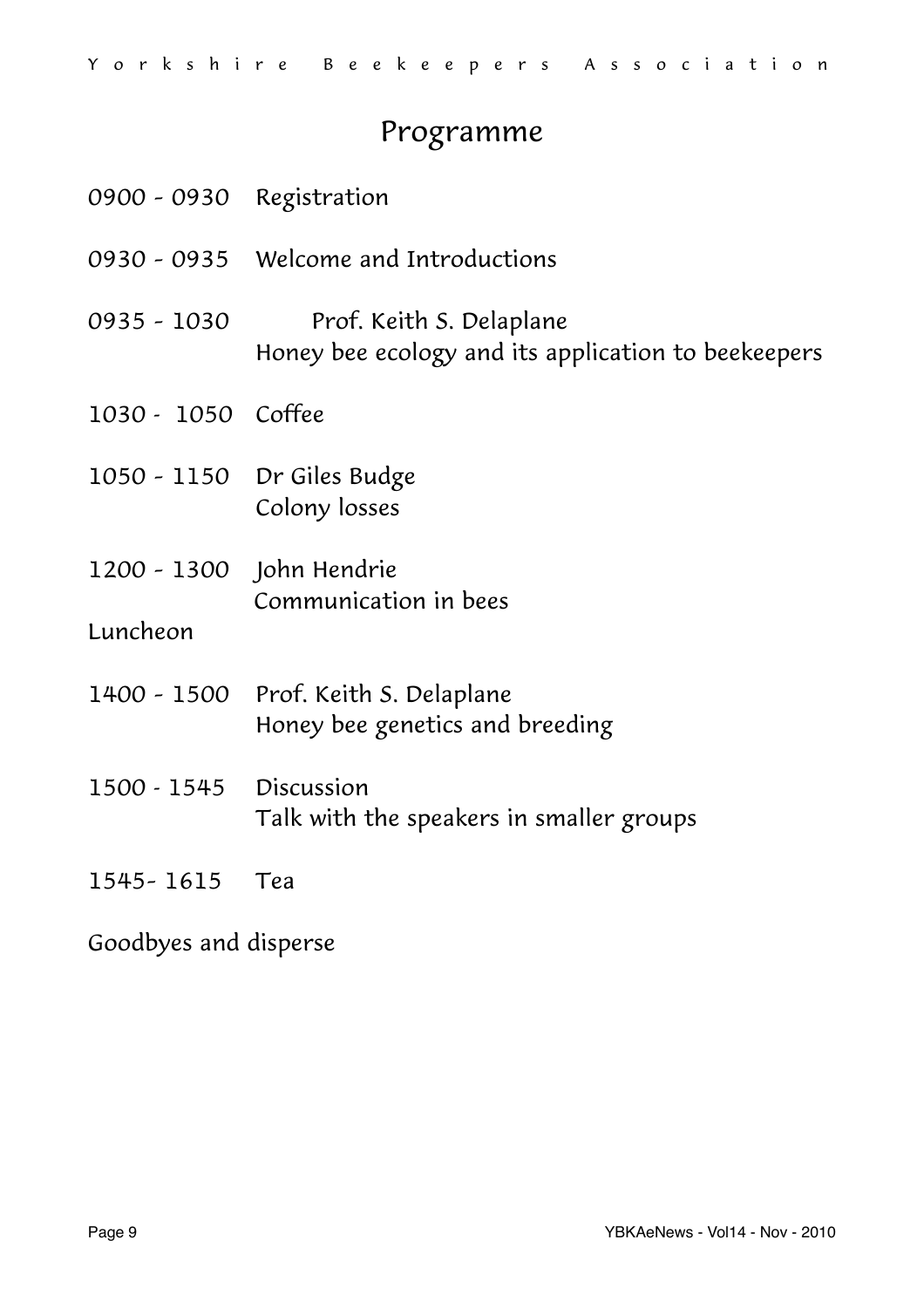# Programme

| 0900 - 0930 Registration |                                                                                 |
|--------------------------|---------------------------------------------------------------------------------|
|                          | 0930 - 0935 Welcome and Introductions                                           |
| 0935 - 1030              | Prof. Keith S. Delaplane<br>Honey bee ecology and its application to beekeepers |
| 1030 - 1050 Coffee       |                                                                                 |
|                          | 1050 - 1150 Dr Giles Budge<br>Colony losses                                     |
| 1200 - 1300 John Hendrie | Communication in bees                                                           |
| Luncheon                 |                                                                                 |
|                          | 1400 - 1500 Prof. Keith S. Delaplane<br>Honey bee genetics and breeding         |
| 1500 - 1545 Discussion   | Talk with the speakers in smaller groups                                        |
| 1545-1615 Tea            |                                                                                 |
|                          |                                                                                 |

Goodbyes and disperse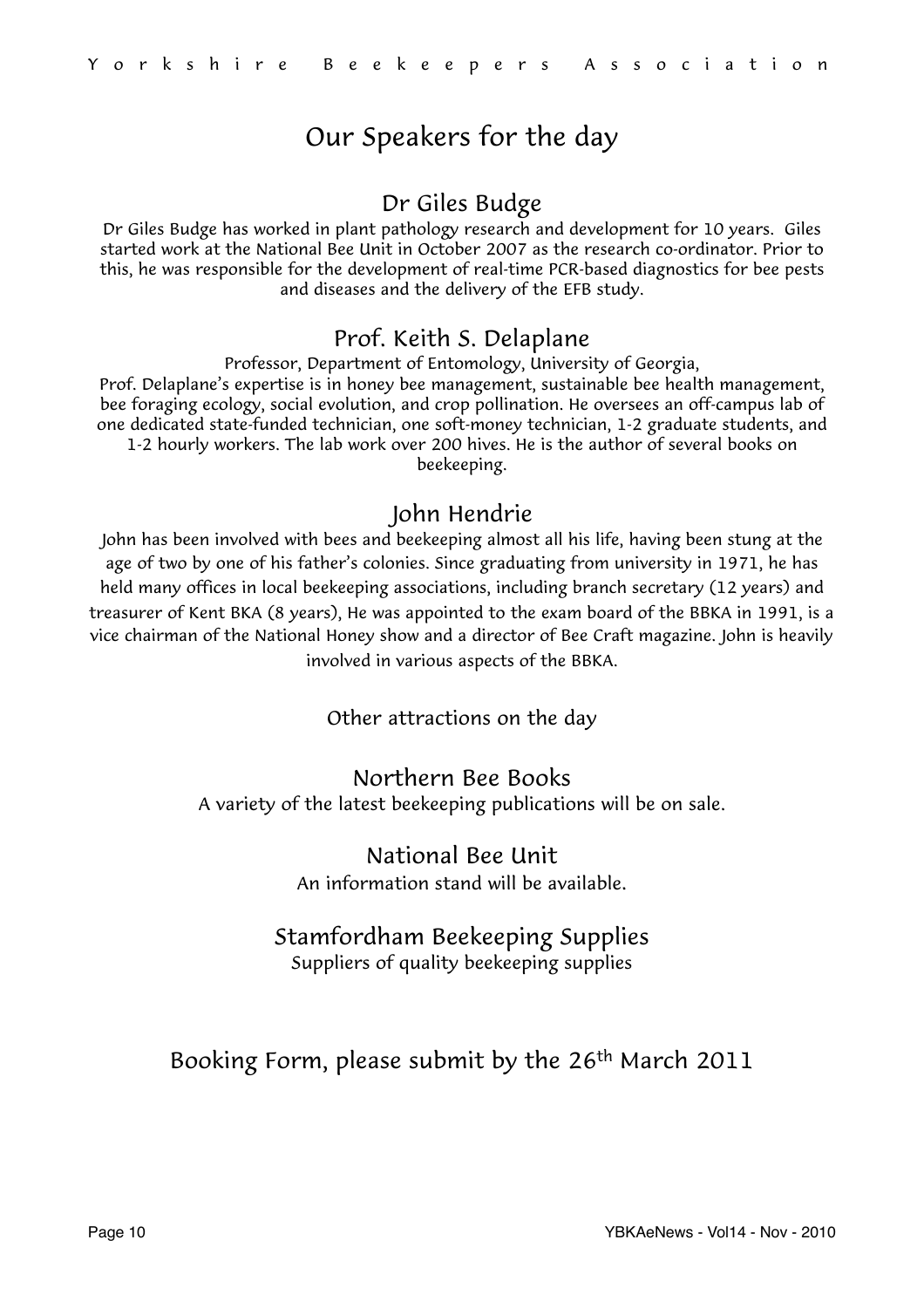# Our Speakers for the day

# Dr Giles Budge

Dr Giles Budge has worked in plant pathology research and development for 10 years. Giles started work at the National Bee Unit in October 2007 as the research co-ordinator. Prior to this, he was responsible for the development of real-time PCR-based diagnostics for bee pests and diseases and the delivery of the EFB study.

# Prof. Keith S. Delaplane

Professor, Department of Entomology, University of Georgia, Prof. Delaplane's expertise is in honey bee management, sustainable bee health management, bee foraging ecology, social evolution, and crop pollination. He oversees an off-campus lab of one dedicated state-funded technician, one soft-money technician, 1-2 graduate students, and 1-2 hourly workers. The lab work over 200 hives. He is the author of several books on beekeeping.

# John Hendrie

John has been involved with bees and beekeeping almost all his life, having been stung at the age of two by one of his father's colonies. Since graduating from university in 1971, he has held many offices in local beekeeping associations, including branch secretary (12 years) and treasurer of Kent BKA (8 years), He was appointed to the exam board of the BBKA in 1991, is a vice chairman of the National Honey show and a director of Bee Craft magazine. John is heavily involved in various aspects of the BBKA.

Other attractions on the day

## Northern Bee Books

A variety of the latest beekeeping publications will be on sale.

#### National Bee Unit An information stand will be available.

# Stamfordham Beekeeping Supplies

Suppliers of quality beekeeping supplies

# Booking Form, please submit by the 26th March 2011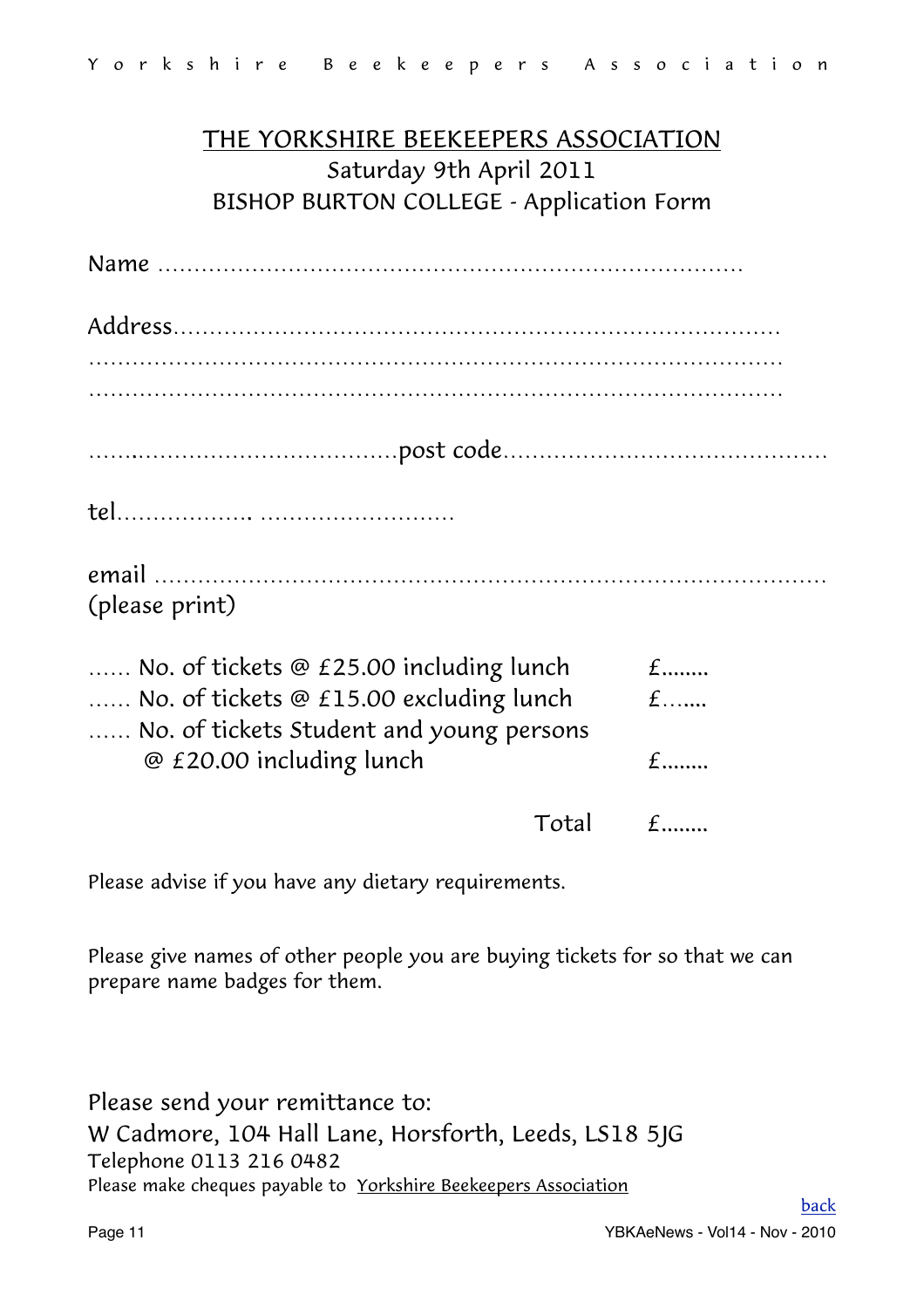# THE YORKSHIRE BEEKEEPERS ASSOCIATION Saturday 9th April 2011 BISHOP BURTON COLLEGE - Application Form

| (please print)                           |                 |
|------------------------------------------|-----------------|
| No. of tickets @ £25.00 including lunch  | $f$             |
| No. of tickets @ £15.00 excluding lunch  | $f$ <sub></sub> |
| No. of tickets Student and young persons |                 |
| @ £20.00 including lunch                 | $f$             |

 $Total$   $f$ .......

Please advise if you have any dietary requirements.

Please give names of other people you are buying tickets for so that we can prepare name badges for them.

Please send your remittance to: W Cadmore, 104 Hall Lane, Horsforth, Leeds, LS18 5JG Telephone 0113 216 0482 Please make cheques payable to Yorkshire Beekeepers Association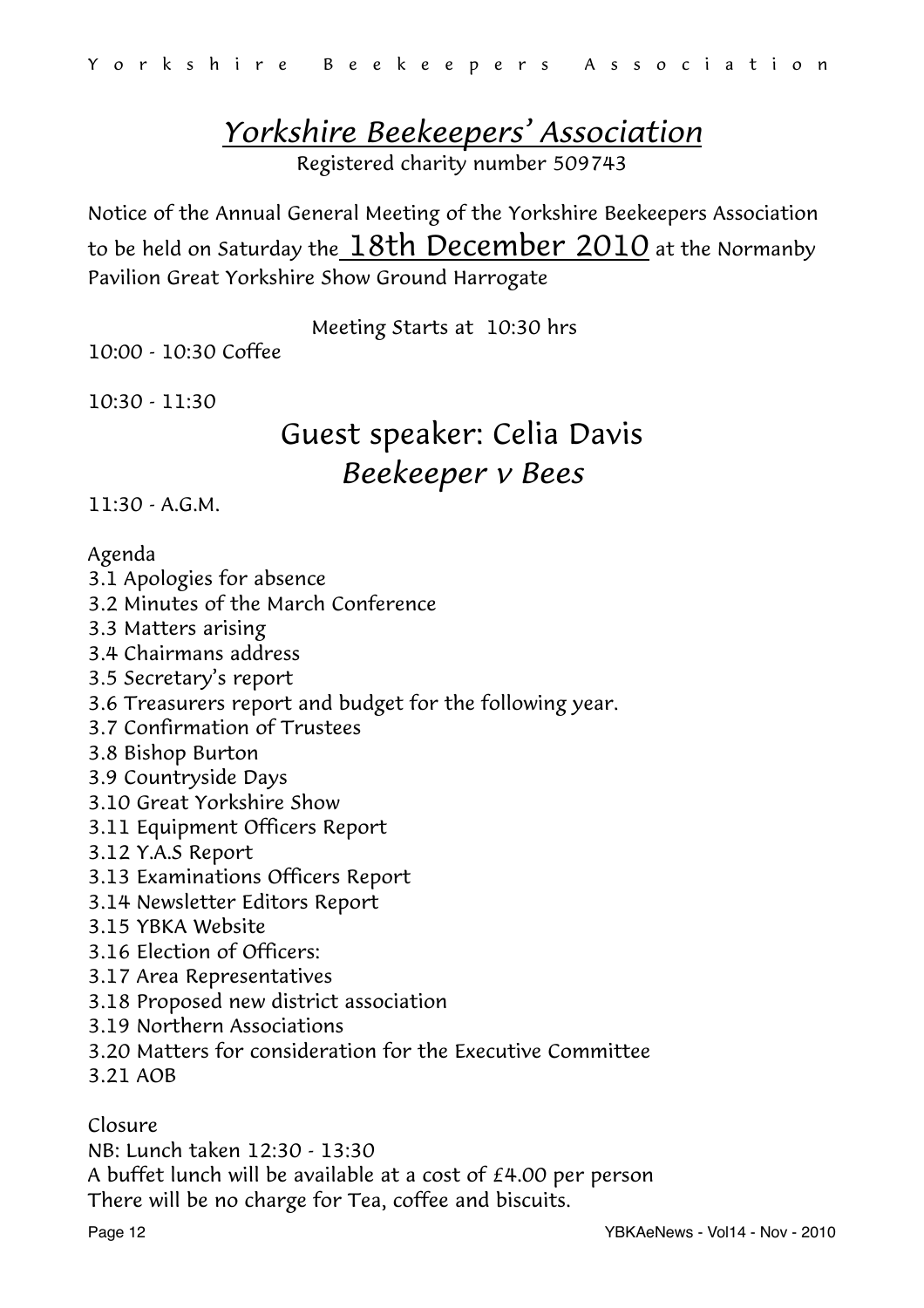# <span id="page-11-0"></span>*Yorkshire Beekeepers' Association*

Registered charity number 509743

Notice of the Annual General Meeting of the Yorkshire Beekeepers Association to be held on Saturday the  $18th$  December 2010 at the Normanby Pavilion Great Yorkshire Show Ground Harrogate

Meeting Starts at 10:30 hrs

10:00 - 10:30 Coffee

10:30 - 11:30

# Guest speaker: Celia Davis *Beekeeper v Bees*

11:30 - A.G.M.

#### Agenda

- 3.1 Apologies for absence
- 3.2 Minutes of the March Conference
- 3.3 Matters arising
- 3.4 Chairmans address
- 3.5 Secretary's report
- 3.6 Treasurers report and budget for the following year.
- 3.7 Confirmation of Trustees
- 3.8 Bishop Burton
- 3.9 Countryside Days
- 3.10 Great Yorkshire Show
- 3.11 Equipment Officers Report
- 3.12 Y.A.S Report
- 3.13 Examinations Officers Report
- 3.14 Newsletter Editors Report
- 3.15 YBKA Website
- 3.16 Election of Officers:
- 3.17 Area Representatives
- 3.18 Proposed new district association
- 3.19 Northern Associations
- 3.20 Matters for consideration for the Executive Committee
- 3.21 AOB

Closure

NB: Lunch taken 12:30 - 13:30

A buffet lunch will be available at a cost of £4.00 per person

There will be no charge for Tea, coffee and biscuits.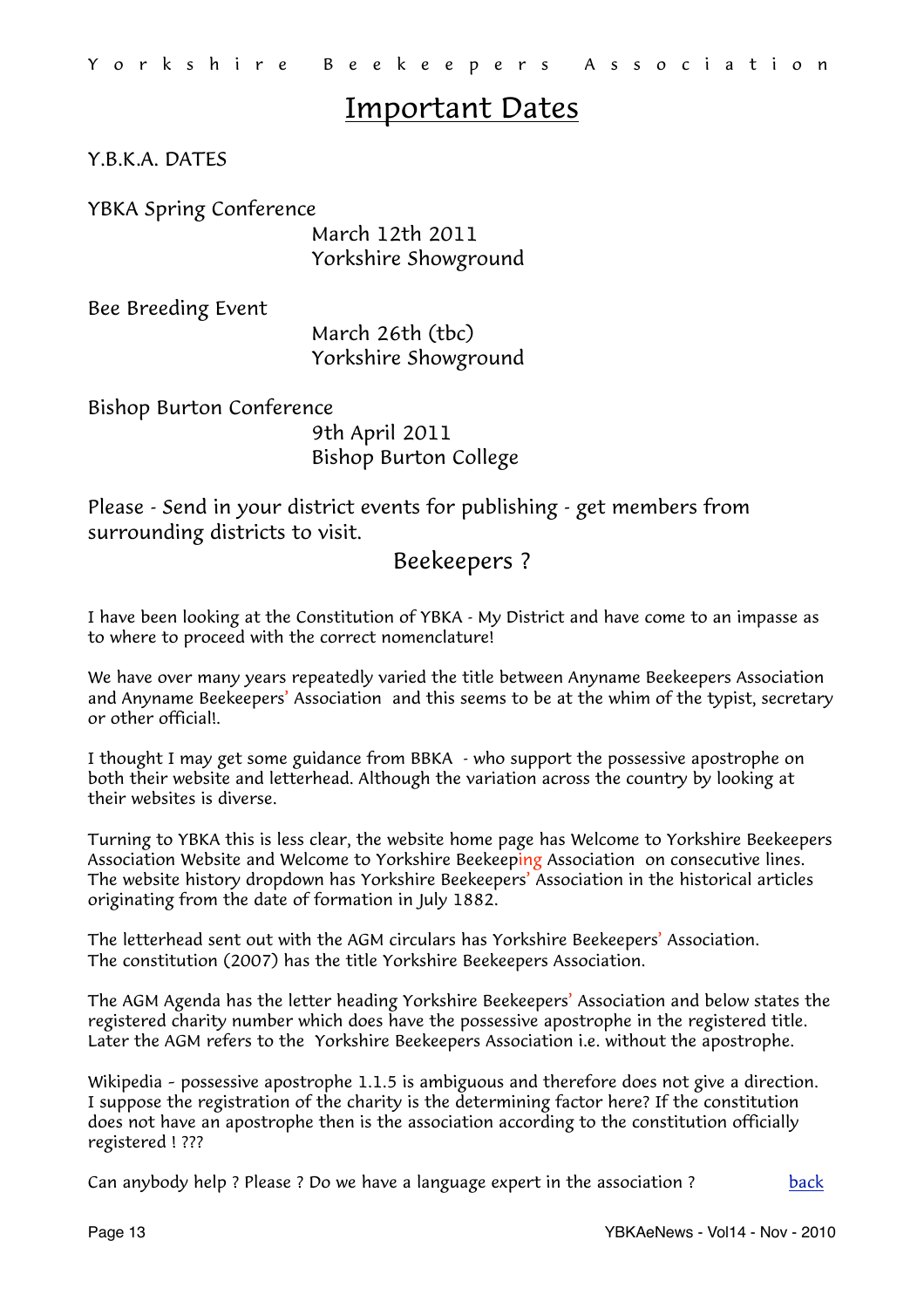# Important Dates

Y.B.K.A. DATES

YBKA Spring Conference

 March 12th 2011 Yorkshire Showground

Bee Breeding Event

 March 26th (tbc) Yorkshire Showground

Bishop Burton Conference 9th April 2011 Bishop Burton College

Please - Send in your district events for publishing - get members from surrounding districts to visit.

## <span id="page-12-0"></span>Beekeepers ?

I have been looking at the Constitution of YBKA - My District and have come to an impasse as to where to proceed with the correct nomenclature!

We have over many years repeatedly varied the title between Anyname Beekeepers Association and Anyname Beekeepers' Association and this seems to be at the whim of the typist, secretary or other official!.

I thought I may get some guidance from BBKA - who support the possessive apostrophe on both their website and letterhead. Although the variation across the country by looking at their websites is diverse.

Turning to YBKA this is less clear, the website home page has Welcome to Yorkshire Beekeepers Association Website and Welcome to Yorkshire Beekeeping Association on consecutive lines. The website history dropdown has Yorkshire Beekeepers' Association in the historical articles originating from the date of formation in July 1882.

The letterhead sent out with the AGM circulars has Yorkshire Beekeepers' Association. The constitution (2007) has the title Yorkshire Beekeepers Association.

The AGM Agenda has the letter heading Yorkshire Beekeepers' Association and below states the registered charity number which does have the possessive apostrophe in the registered title. Later the AGM refers to the Yorkshire Beekeepers Association i.e. without the apostrophe.

Wikipedia – possessive apostrophe 1.1.5 is ambiguous and therefore does not give a direction. I suppose the registration of the charity is the determining factor here? If the constitution does not have an apostrophe then is the association according to the constitution officially registered ! ???

Can anybody help ? Please ? Do we have a language expert in the association ?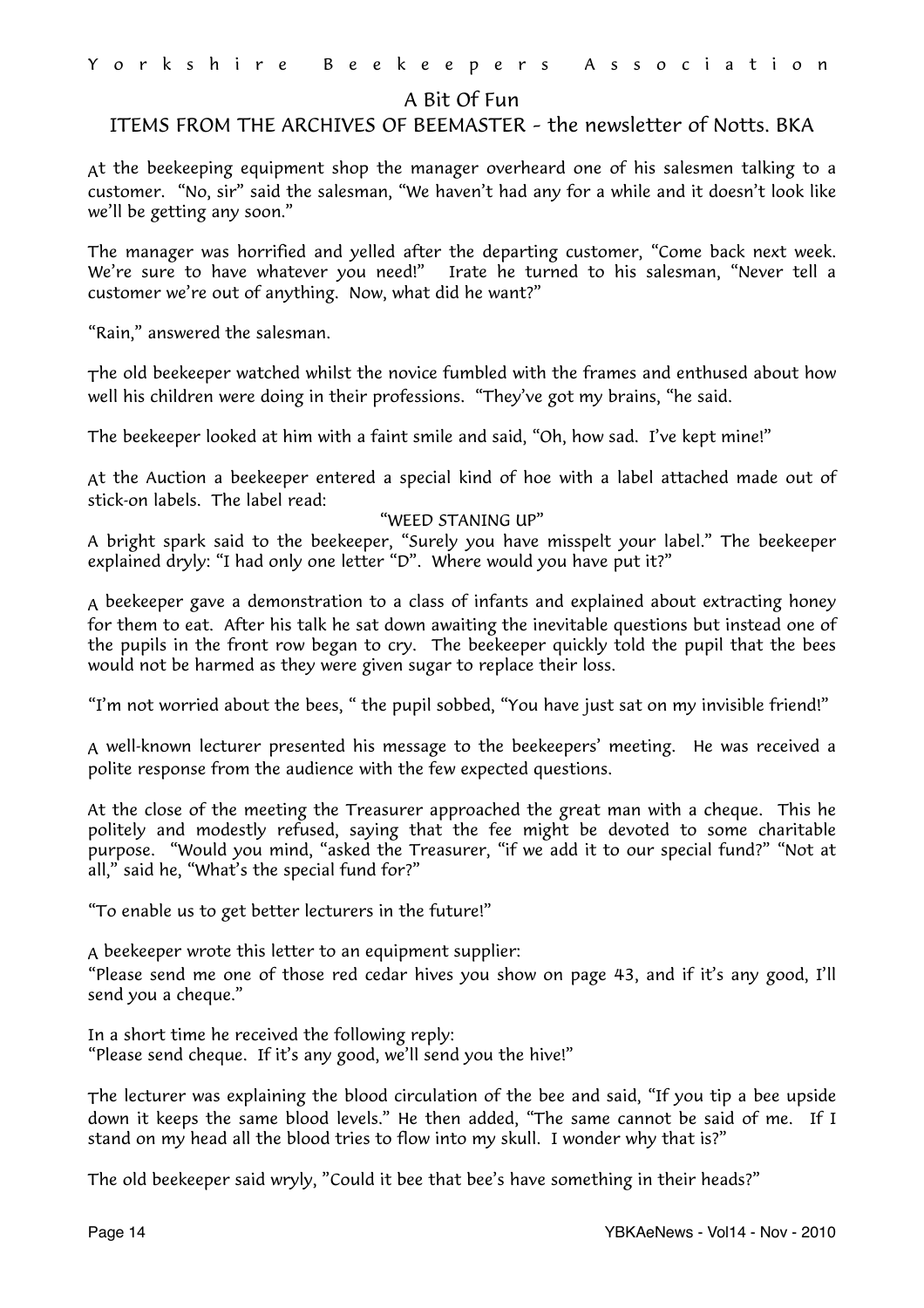#### <span id="page-13-0"></span>A Bit Of Fun

#### ITEMS FROM THE ARCHIVES OF BEEMASTER – the newsletter of Notts. BKA

At the beekeeping equipment shop the manager overheard one of his salesmen talking to a customer. "No, sir" said the salesman, "We haven't had any for a while and it doesn't look like we'll be getting any soon."

The manager was horrified and yelled after the departing customer, "Come back next week. We're sure to have whatever you need!" Irate he turned to his salesman, "Never tell a customer we're out of anything. Now, what did he want?"

"Rain," answered the salesman.

The old beekeeper watched whilst the novice fumbled with the frames and enthused about how well his children were doing in their professions. "They've got my brains, "he said.

The beekeeper looked at him with a faint smile and said, "Oh, how sad. I've kept mine!"

At the Auction a beekeeper entered a special kind of hoe with a label attached made out of stick-on labels. The label read:

#### "WEED STANING UP"

A bright spark said to the beekeeper, "Surely you have misspelt your label." The beekeeper explained dryly: "I had only one letter "D". Where would you have put it?"

A beekeeper gave a demonstration to a class of infants and explained about extracting honey for them to eat. After his talk he sat down awaiting the inevitable questions but instead one of the pupils in the front row began to cry. The beekeeper quickly told the pupil that the bees would not be harmed as they were given sugar to replace their loss.

"I'm not worried about the bees, " the pupil sobbed, "You have just sat on my invisible friend!"

A well-known lecturer presented his message to the beekeepers' meeting. He was received a polite response from the audience with the few expected questions.

At the close of the meeting the Treasurer approached the great man with a cheque. This he politely and modestly refused, saying that the fee might be devoted to some charitable purpose. "Would you mind, "asked the Treasurer, "if we add it to our special fund?" "Not at all," said he, "What's the special fund for?"

"To enable us to get better lecturers in the future!"

A beekeeper wrote this letter to an equipment supplier:

"Please send me one of those red cedar hives you show on page 43, and if it's any good, I'll send you a cheque."

In a short time he received the following reply: "Please send cheque. If it's any good, we'll send you the hive!"

The lecturer was explaining the blood circulation of the bee and said, "If you tip a bee upside down it keeps the same blood levels." He then added, "The same cannot be said of me. If I stand on my head all the blood tries to flow into my skull. I wonder why that is?"

The old beekeeper said wryly, "Could it bee that bee's have something in their heads?"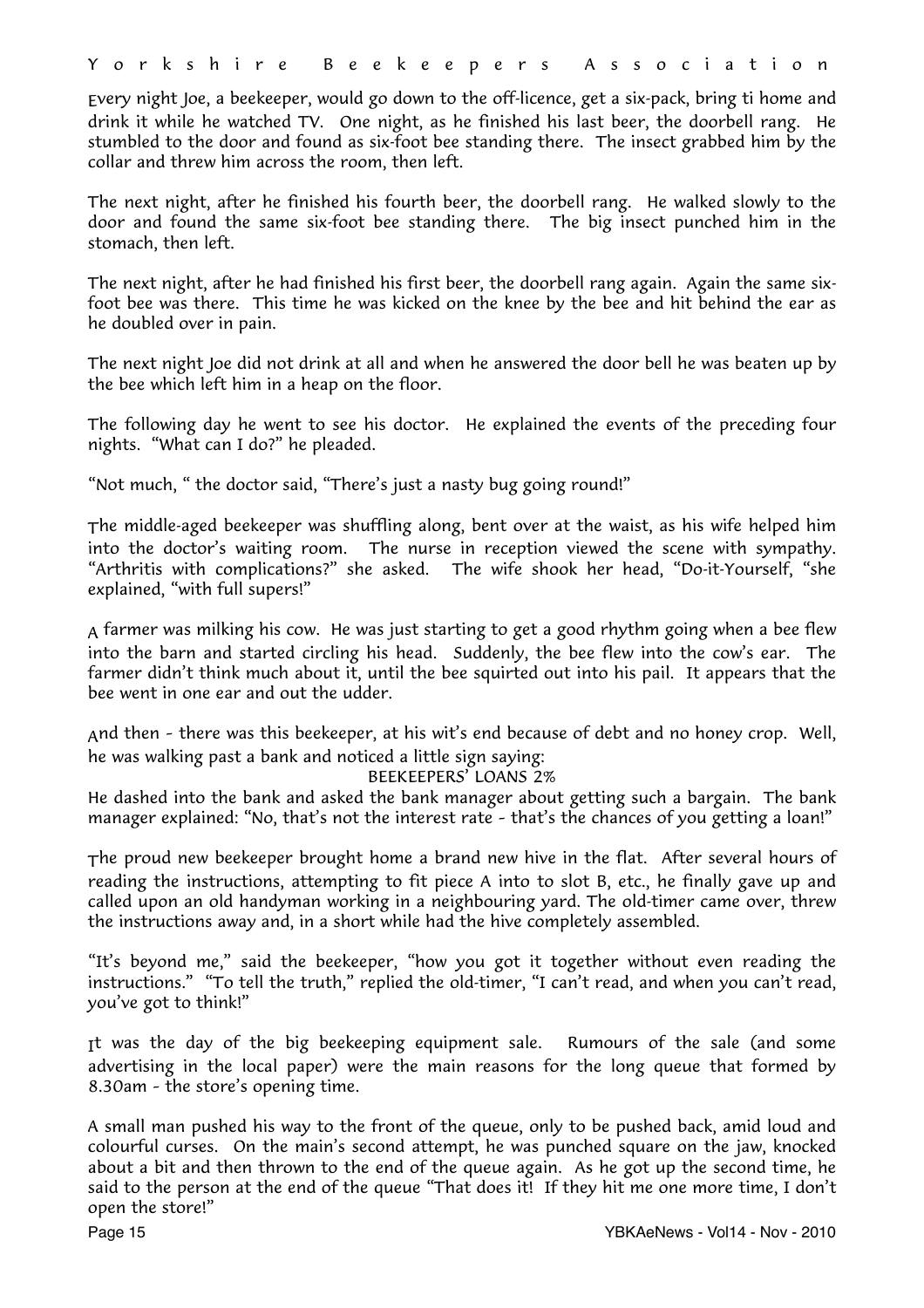Every night Joe, a beekeeper, would go down to the off-licence, get a six-pack, bring ti home and drink it while he watched TV. One night, as he finished his last beer, the doorbell rang. He stumbled to the door and found as six-foot bee standing there. The insect grabbed him by the collar and threw him across the room, then left.

The next night, after he finished his fourth beer, the doorbell rang. He walked slowly to the door and found the same six-foot bee standing there. The big insect punched him in the stomach, then left.

The next night, after he had finished his first beer, the doorbell rang again. Again the same sixfoot bee was there. This time he was kicked on the knee by the bee and hit behind the ear as he doubled over in pain.

The next night Joe did not drink at all and when he answered the door bell he was beaten up by the bee which left him in a heap on the floor.

The following day he went to see his doctor. He explained the events of the preceding four nights. "What can I do?" he pleaded.

"Not much, " the doctor said, "There's just a nasty bug going round!"

The middle-aged beekeeper was shuffling along, bent over at the waist, as his wife helped him into the doctor's waiting room. The nurse in reception viewed the scene with sympathy. "Arthritis with complications?" she asked. The wife shook her head, "Do-it-Yourself, "she explained, "with full supers!"

A farmer was milking his cow. He was just starting to get a good rhythm going when a bee flew into the barn and started circling his head. Suddenly, the bee flew into the cow's ear. The farmer didn't think much about it, until the bee squirted out into his pail. It appears that the bee went in one ear and out the udder.

And then – there was this beekeeper, at his wit's end because of debt and no honey crop. Well, he was walking past a bank and noticed a little sign saying:

#### BEEKEEPERS' LOANS 2%

He dashed into the bank and asked the bank manager about getting such a bargain. The bank manager explained: "No, that's not the interest rate – that's the chances of you getting a loan!"

The proud new beekeeper brought home a brand new hive in the flat. After several hours of reading the instructions, attempting to fit piece A into to slot B, etc., he finally gave up and called upon an old handyman working in a neighbouring yard. The old-timer came over, threw the instructions away and, in a short while had the hive completely assembled.

"It's beyond me," said the beekeeper, "how you got it together without even reading the instructions." "To tell the truth," replied the old-timer, "I can't read, and when you can't read, you've got to think!"

It was the day of the big beekeeping equipment sale. Rumours of the sale (and some advertising in the local paper) were the main reasons for the long queue that formed by 8.30am – the store's opening time.

A small man pushed his way to the front of the queue, only to be pushed back, amid loud and colourful curses. On the main's second attempt, he was punched square on the jaw, knocked about a bit and then thrown to the end of the queue again. As he got up the second time, he said to the person at the end of the queue "That does it! If they hit me one more time, I don't open the store!"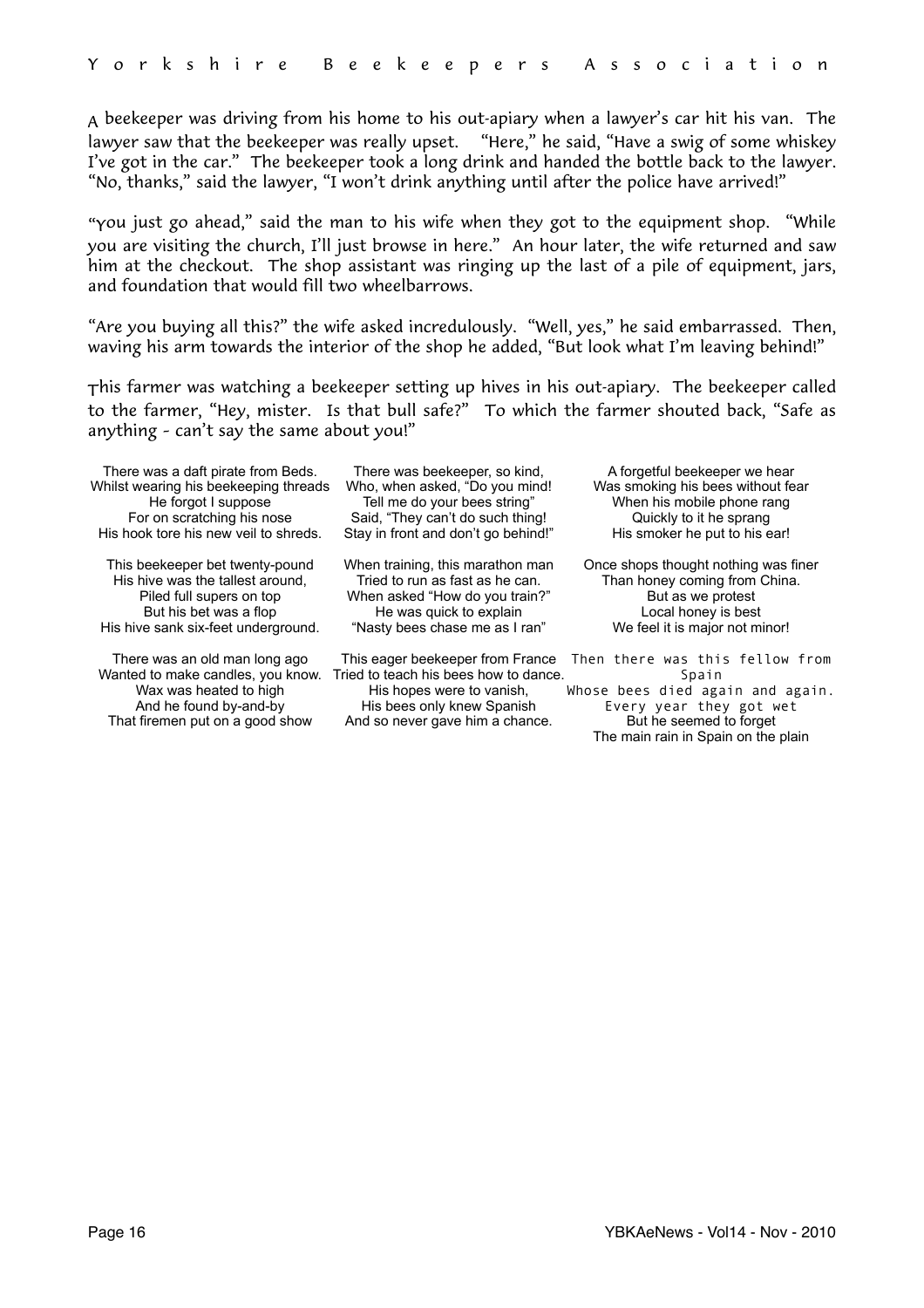A beekeeper was driving from his home to his out-apiary when a lawyer's car hit his van. The lawyer saw that the beekeeper was really upset. "Here," he said, "Have a swig of some whiskey I've got in the car." The beekeeper took a long drink and handed the bottle back to the lawyer. "No, thanks," said the lawyer, "I won't drink anything until after the police have arrived!"

"You just go ahead," said the man to his wife when they got to the equipment shop. "While you are visiting the church, I'll just browse in here." An hour later, the wife returned and saw him at the checkout. The shop assistant was ringing up the last of a pile of equipment, jars, and foundation that would fill two wheelbarrows.

"Are you buying all this?" the wife asked incredulously. "Well, yes," he said embarrassed. Then, waving his arm towards the interior of the shop he added, "But look what I'm leaving behind!"

This farmer was watching a beekeeper setting up hives in his out-apiary. The beekeeper called to the farmer, "Hey, mister. Is that bull safe?" To which the farmer shouted back, "Safe as anything – can't say the same about you!"

There was a daft pirate from Beds. Whilst wearing his beekeeping threads He forgot I suppose For on scratching his nose His hook tore his new veil to shreds.

This beekeeper bet twenty-pound His hive was the tallest around, Piled full supers on top But his bet was a flop His hive sank six-feet underground.

There was an old man long ago Wax was heated to high And he found by-and-by That firemen put on a good show

There was beekeeper, so kind, Who, when asked, "Do you mind! Tell me do your bees string" Said, "They can't do such thing! Stay in front and don't go behind!"

When training, this marathon man Tried to run as fast as he can. When asked "How do you train?" He was quick to explain "Nasty bees chase me as I ran"

Wanted to make candles, you know. Tried to teach his bees how to dance. His hopes were to vanish, His bees only knew Spanish And so never gave him a chance.

A forgetful beekeeper we hear Was smoking his bees without fear When his mobile phone rang Quickly to it he sprang His smoker he put to his ear!

Once shops thought nothing was finer Than honey coming from China. But as we protest Local honey is best We feel it is major not minor!

This eager beekeeper from France Then there was this fellow from Spain

Whose bees died again and again. Every year they got wet But he seemed to forget The main rain in Spain on the plain